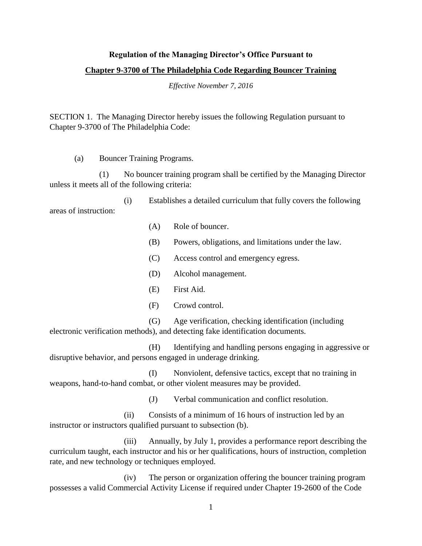## **Regulation of the Managing Director's Office Pursuant to**

## **Chapter 9-3700 of The Philadelphia Code Regarding Bouncer Training**

*Effective November 7, 2016*

SECTION 1. The Managing Director hereby issues the following Regulation pursuant to Chapter 9-3700 of The Philadelphia Code:

(a) Bouncer Training Programs.

(1) No bouncer training program shall be certified by the Managing Director unless it meets all of the following criteria:

(i) Establishes a detailed curriculum that fully covers the following areas of instruction:

- (A) Role of bouncer.
- (B) Powers, obligations, and limitations under the law.
- (C) Access control and emergency egress.
- (D) Alcohol management.
- (E) First Aid.
- (F) Crowd control.

(G) Age verification, checking identification (including electronic verification methods), and detecting fake identification documents.

(H) Identifying and handling persons engaging in aggressive or disruptive behavior, and persons engaged in underage drinking.

(I) Nonviolent, defensive tactics, except that no training in weapons, hand-to-hand combat, or other violent measures may be provided.

(J) Verbal communication and conflict resolution.

(ii) Consists of a minimum of 16 hours of instruction led by an instructor or instructors qualified pursuant to subsection (b).

(iii) Annually, by July 1, provides a performance report describing the curriculum taught, each instructor and his or her qualifications, hours of instruction, completion rate, and new technology or techniques employed.

(iv) The person or organization offering the bouncer training program possesses a valid Commercial Activity License if required under Chapter 19-2600 of the Code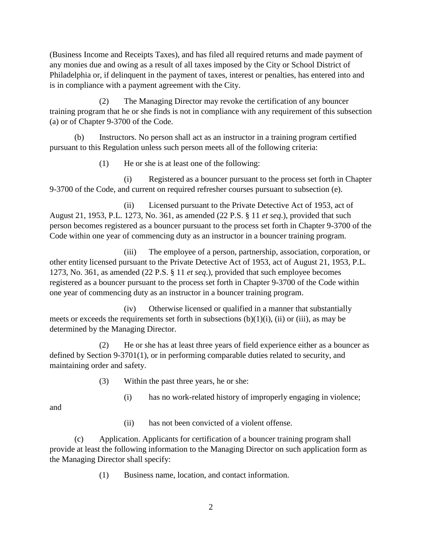(Business Income and Receipts Taxes), and has filed all required returns and made payment of any monies due and owing as a result of all taxes imposed by the City or School District of Philadelphia or, if delinquent in the payment of taxes, interest or penalties, has entered into and is in compliance with a payment agreement with the City.

(2) The Managing Director may revoke the certification of any bouncer training program that he or she finds is not in compliance with any requirement of this subsection (a) or of Chapter 9-3700 of the Code.

(b) Instructors. No person shall act as an instructor in a training program certified pursuant to this Regulation unless such person meets all of the following criteria:

(1) He or she is at least one of the following:

(i) Registered as a bouncer pursuant to the process set forth in Chapter 9-3700 of the Code, and current on required refresher courses pursuant to subsection (e).

(ii) Licensed pursuant to the Private Detective Act of 1953, act of August 21, 1953, P.L. 1273, No. 361, as amended (22 P.S. § 11 *et seq*.), provided that such person becomes registered as a bouncer pursuant to the process set forth in Chapter 9-3700 of the Code within one year of commencing duty as an instructor in a bouncer training program.

(iii) The employee of a person, partnership, association, corporation, or other entity licensed pursuant to the Private Detective Act of 1953, act of August 21, 1953, P.L. 1273, No. 361, as amended (22 P.S. § 11 *et seq*.), provided that such employee becomes registered as a bouncer pursuant to the process set forth in Chapter 9-3700 of the Code within one year of commencing duty as an instructor in a bouncer training program.

(iv) Otherwise licensed or qualified in a manner that substantially meets or exceeds the requirements set forth in subsections  $(b)(1)(i)$ ,  $(ii)$  or  $(iii)$ , as may be determined by the Managing Director.

(2) He or she has at least three years of field experience either as a bouncer as defined by Section 9-3701(1), or in performing comparable duties related to security, and maintaining order and safety.

(3) Within the past three years, he or she:

(i) has no work-related history of improperly engaging in violence;

and

(ii) has not been convicted of a violent offense.

(c) Application. Applicants for certification of a bouncer training program shall provide at least the following information to the Managing Director on such application form as the Managing Director shall specify:

(1) Business name, location, and contact information.